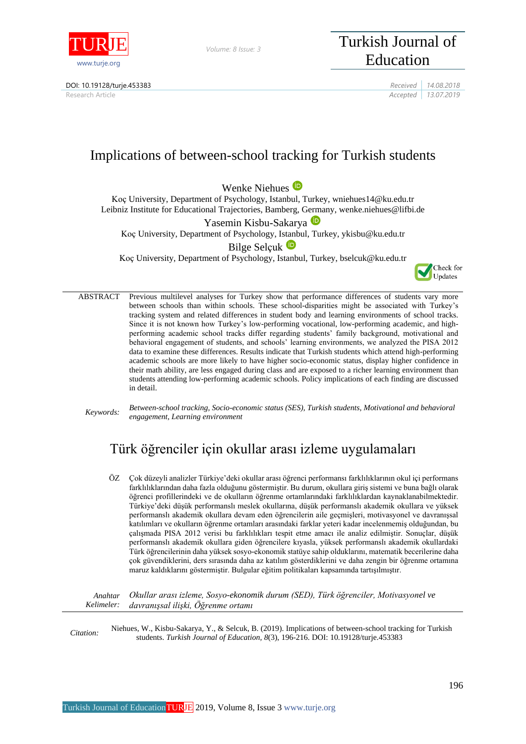

*Volume: 8 Issue: 3*

## DOI: 10.19128/turje.453383 *Received 14.08.2018*



Research Article *Accepted 13.07.2019*

# Implications of between-school tracking for Turkish students

Wenke Niehues<sup><sup>D</sup></sup>

Koç University, Department of Psychology, Istanbul, Turkey, wniehues14@ku.edu.tr Leibniz Institute for Educational Trajectories, Bamberg, Germany, wenke.niehues@lifbi.de

Yasemin Kisbu-Sakarya<sup>D</sup>

Koç University, Department of Psychology, Is[tanb](https://orcid.org/0000-0001-9992-5174)ul, Turkey, ykisbu@ku.edu.tr

## Bilge Selcuk <sup>D</sup>

Koç University, Department of Psychology, Istanbul, Turkey, bselcuk@ku.edu.tr



ABSTRACT Previous multilevel analyses for Turkey show that performance differences of students vary more between schools than within schools. These school-disparities might be associated with Turkey's tracking system and related differences in student body and learning environments of school tracks. Since it is not known how Turkey's low-performing vocational, low-performing academic, and highperforming academic school tracks differ regarding students' family background, motivational and behavioral engagement of students, and schools' learning environments, we analyzed the PISA 2012 data to examine these differences. Results indicate that Turkish students which attend high-performing academic schools are more likely to have higher socio-economic status, display higher confidence in their math ability, are less engaged during class and are exposed to a richer learning environment than students attending low-performing academic schools. Policy implications of each finding are discussed in detail.

*Keywords: Between-school tracking, Socio-economic status (SES), Turkish students, Motivational and behavioral engagement, Learning environment*

## Türk öğrenciler için okullar arası izleme uygulamaları

ÖZ Çok düzeyli analizler Türkiye'deki okullar arası öğrenci performansı farklılıklarının okul içi performans farklılıklarından daha fazla olduğunu göstermiştir. Bu durum, okullara giriş sistemi ve buna bağlı olarak öğrenci profillerindeki ve de okulların öğrenme ortamlarındaki farklılıklardan kaynaklanabilmektedir. Türkiye'deki düşük performanslı meslek okullarına, düşük performanslı akademik okullara ve yüksek performanslı akademik okullara devam eden öğrencilerin aile geçmişleri, motivasyonel ve davranışsal katılımları ve okulların öğrenme ortamları arasındaki farklar yeteri kadar incelenmemiş olduğundan, bu çalışmada PISA 2012 verisi bu farklılıkları tespit etme amacı ile analiz edilmiştir. Sonuçlar, düşük performanslı akademik okullara giden öğrencilere kıyasla, yüksek performanslı akademik okullardaki Türk öğrencilerinin daha yüksek sosyo-ekonomik statüye sahip olduklarını, matematik becerilerine daha çok güvendiklerini, ders sırasında daha az katılım gösterdiklerini ve daha zengin bir öğrenme ortamına maruz kaldıklarını göstermiştir. Bulgular eğitim politikaları kapsamında tartışılmıştır.

*Anahtar Kelimeler: Okullar arası izleme, Sosyo-ekonomik durum (SED), Türk öğrenciler, Motivasyonel ve davranışsal ilişki, Öğrenme ortamı*

*Citation:* Niehues, W., Kisbu-Sakarya, Y., & Selcuk, B. (2019). Implications of between-school tracking for Turkish students. *Turkish Journal of Education, 8*(3), 196-216. DOI: 10.19128/turje.453383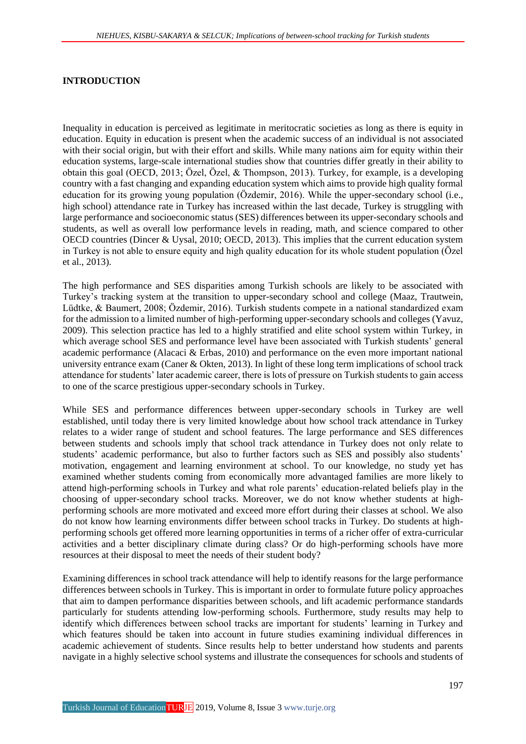#### **INTRODUCTION**

Inequality in education is perceived as legitimate in meritocratic societies as long as there is equity in education. Equity in education is present when the academic success of an individual is not associated with their social origin, but with their effort and skills. While many nations aim for equity within their education systems, large-scale international studies show that countries differ greatly in their ability to obtain this goal (OECD, 2013; Özel, Özel, & Thompson, 2013). Turkey, for example, is a developing country with a fast changing and expanding education system which aims to provide high quality formal education for its growing young population (Özdemir, 2016). While the upper-secondary school (i.e., high school) attendance rate in Turkey has increased within the last decade, Turkey is struggling with large performance and socioeconomic status (SES) differences between its upper-secondary schools and students, as well as overall low performance levels in reading, math, and science compared to other OECD countries (Dincer & Uysal, 2010; OECD, 2013). This implies that the current education system in Turkey is not able to ensure equity and high quality education for its whole student population (Özel et al., 2013).

The high performance and SES disparities among Turkish schools are likely to be associated with Turkey's tracking system at the transition to upper-secondary school and college (Maaz, Trautwein, Lüdtke, & Baumert, 2008; Özdemir, 2016). Turkish students compete in a national standardized exam for the admission to a limited number of high-performing upper-secondary schools and colleges (Yavuz, 2009). This selection practice has led to a highly stratified and elite school system within Turkey, in which average school SES and performance level have been associated with Turkish students' general academic performance (Alacaci & Erbas, 2010) and performance on the even more important national university entrance exam (Caner & Okten, 2013). In light of these long term implications of school track attendance for students' later academic career, there is lots of pressure on Turkish students to gain access to one of the scarce prestigious upper-secondary schools in Turkey.

While SES and performance differences between upper-secondary schools in Turkey are well established, until today there is very limited knowledge about how school track attendance in Turkey relates to a wider range of student and school features. The large performance and SES differences between students and schools imply that school track attendance in Turkey does not only relate to students' academic performance, but also to further factors such as SES and possibly also students' motivation, engagement and learning environment at school. To our knowledge, no study yet has examined whether students coming from economically more advantaged families are more likely to attend high-performing schools in Turkey and what role parents' education-related beliefs play in the choosing of upper-secondary school tracks. Moreover, we do not know whether students at highperforming schools are more motivated and exceed more effort during their classes at school. We also do not know how learning environments differ between school tracks in Turkey. Do students at highperforming schools get offered more learning opportunities in terms of a richer offer of extra-curricular activities and a better disciplinary climate during class? Or do high-performing schools have more resources at their disposal to meet the needs of their student body?

Examining differences in school track attendance will help to identify reasons for the large performance differences between schools in Turkey. This is important in order to formulate future policy approaches that aim to dampen performance disparities between schools, and lift academic performance standards particularly for students attending low-performing schools. Furthermore, study results may help to identify which differences between school tracks are important for students' learning in Turkey and which features should be taken into account in future studies examining individual differences in academic achievement of students. Since results help to better understand how students and parents navigate in a highly selective school systems and illustrate the consequences for schools and students of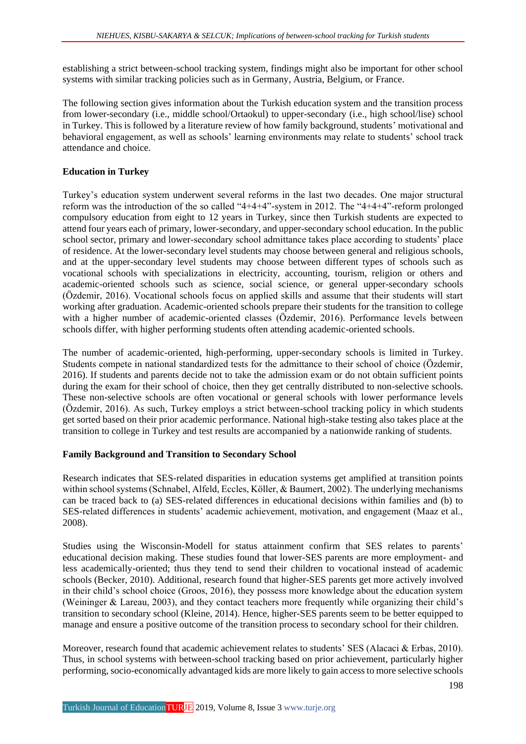establishing a strict between-school tracking system, findings might also be important for other school systems with similar tracking policies such as in Germany, Austria, Belgium, or France.

The following section gives information about the Turkish education system and the transition process from lower-secondary (i.e., middle school/Ortaokul) to upper-secondary (i.e., high school/lise) school in Turkey. This is followed by a literature review of how family background, students' motivational and behavioral engagement, as well as schools' learning environments may relate to students' school track attendance and choice.

## **Education in Turkey**

Turkey's education system underwent several reforms in the last two decades. One major structural reform was the introduction of the so called "4+4+4"-system in 2012. The "4+4+4"-reform prolonged compulsory education from eight to 12 years in Turkey, since then Turkish students are expected to attend four years each of primary, lower-secondary, and upper-secondary school education. In the public school sector, primary and lower-secondary school admittance takes place according to students' place of residence. At the lower-secondary level students may choose between general and religious schools, and at the upper-secondary level students may choose between different types of schools such as vocational schools with specializations in electricity, accounting, tourism, religion or others and academic-oriented schools such as science, social science, or general upper-secondary schools (Özdemir, 2016). Vocational schools focus on applied skills and assume that their students will start working after graduation. Academic-oriented schools prepare their students for the transition to college with a higher number of academic-oriented classes (Özdemir, 2016). Performance levels between schools differ, with higher performing students often attending academic-oriented schools.

The number of academic-oriented, high-performing, upper-secondary schools is limited in Turkey. Students compete in national standardized tests for the admittance to their school of choice (Özdemir, 2016). If students and parents decide not to take the admission exam or do not obtain sufficient points during the exam for their school of choice, then they get centrally distributed to non-selective schools. These non-selective schools are often vocational or general schools with lower performance levels (Özdemir, 2016). As such, Turkey employs a strict between-school tracking policy in which students get sorted based on their prior academic performance. National high-stake testing also takes place at the transition to college in Turkey and test results are accompanied by a nationwide ranking of students.

## **Family Background and Transition to Secondary School**

Research indicates that SES-related disparities in education systems get amplified at transition points within school systems (Schnabel, Alfeld, Eccles, Köller, & Baumert, 2002). The underlying mechanisms can be traced back to (a) SES-related differences in educational decisions within families and (b) to SES-related differences in students' academic achievement, motivation, and engagement (Maaz et al., 2008).

Studies using the Wisconsin-Modell for status attainment confirm that SES relates to parents' educational decision making. These studies found that lower-SES parents are more employment- and less academically-oriented; thus they tend to send their children to vocational instead of academic schools (Becker, 2010). Additional, research found that higher-SES parents get more actively involved in their child's school choice (Groos, 2016), they possess more knowledge about the education system (Weininger & Lareau, 2003), and they contact teachers more frequently while organizing their child's transition to secondary school (Kleine, 2014). Hence, higher-SES parents seem to be better equipped to manage and ensure a positive outcome of the transition process to secondary school for their children.

Moreover, research found that academic achievement relates to students' SES (Alacaci & Erbas, 2010). Thus, in school systems with between-school tracking based on prior achievement, particularly higher performing, socio-economically advantaged kids are more likely to gain access to more selective schools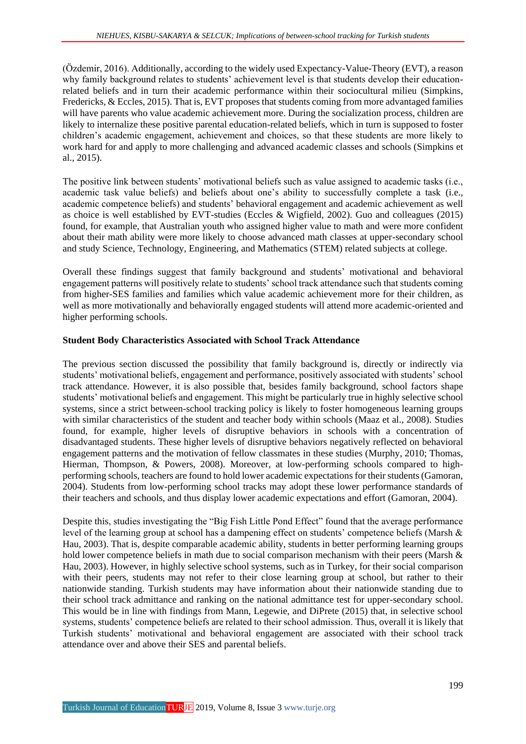(Özdemir, 2016). Additionally, according to the widely used Expectancy-Value-Theory (EVT), a reason why family background relates to students' achievement level is that students develop their educationrelated beliefs and in turn their academic performance within their sociocultural milieu (Simpkins, Fredericks, & Eccles, 2015). That is, EVT proposes that students coming from more advantaged families will have parents who value academic achievement more. During the socialization process, children are likely to internalize these positive parental education-related beliefs, which in turn is supposed to foster children's academic engagement, achievement and choices, so that these students are more likely to work hard for and apply to more challenging and advanced academic classes and schools (Simpkins et al., 2015).

The positive link between students' motivational beliefs such as value assigned to academic tasks (i.e., academic task value beliefs) and beliefs about one's ability to successfully complete a task (i.e., academic competence beliefs) and students' behavioral engagement and academic achievement as well as choice is well established by EVT-studies (Eccles & Wigfield, 2002). Guo and colleagues (2015) found, for example, that Australian youth who assigned higher value to math and were more confident about their math ability were more likely to choose advanced math classes at upper-secondary school and study Science, Technology, Engineering, and Mathematics (STEM) related subjects at college.

Overall these findings suggest that family background and students' motivational and behavioral engagement patterns will positively relate to students' school track attendance such that students coming from higher-SES families and families which value academic achievement more for their children, as well as more motivationally and behaviorally engaged students will attend more academic-oriented and higher performing schools.

## **Student Body Characteristics Associated with School Track Attendance**

The previous section discussed the possibility that family background is, directly or indirectly via students' motivational beliefs, engagement and performance, positively associated with students' school track attendance. However, it is also possible that, besides family background, school factors shape students' motivational beliefs and engagement. This might be particularly true in highly selective school systems, since a strict between-school tracking policy is likely to foster homogeneous learning groups with similar characteristics of the student and teacher body within schools (Maaz et al., 2008). Studies found, for example, higher levels of disruptive behaviors in schools with a concentration of disadvantaged students. These higher levels of disruptive behaviors negatively reflected on behavioral engagement patterns and the motivation of fellow classmates in these studies (Murphy, 2010; Thomas, Hierman, Thompson, & Powers, 2008). Moreover, at low-performing schools compared to highperforming schools, teachers are found to hold lower academic expectations for their students (Gamoran, 2004). Students from low-performing school tracks may adopt these lower performance standards of their teachers and schools, and thus display lower academic expectations and effort (Gamoran, 2004).

Despite this, studies investigating the "Big Fish Little Pond Effect" found that the average performance level of the learning group at school has a dampening effect on students' competence beliefs (Marsh & Hau, 2003). That is, despite comparable academic ability, students in better performing learning groups hold lower competence beliefs in math due to social comparison mechanism with their peers (Marsh & Hau, 2003). However, in highly selective school systems, such as in Turkey, for their social comparison with their peers, students may not refer to their close learning group at school, but rather to their nationwide standing. Turkish students may have information about their nationwide standing due to their school track admittance and ranking on the national admittance test for upper-secondary school. This would be in line with findings from Mann, Legewie, and DiPrete (2015) that, in selective school systems, students' competence beliefs are related to their school admission. Thus, overall it is likely that Turkish students' motivational and behavioral engagement are associated with their school track attendance over and above their SES and parental beliefs.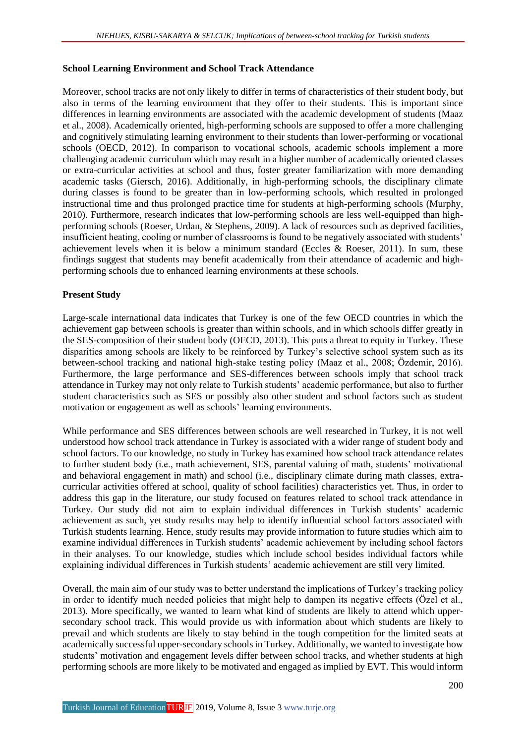## **School Learning Environment and School Track Attendance**

Moreover, school tracks are not only likely to differ in terms of characteristics of their student body, but also in terms of the learning environment that they offer to their students. This is important since differences in learning environments are associated with the academic development of students (Maaz et al., 2008). Academically oriented, high-performing schools are supposed to offer a more challenging and cognitively stimulating learning environment to their students than lower-performing or vocational schools (OECD, 2012). In comparison to vocational schools, academic schools implement a more challenging academic curriculum which may result in a higher number of academically oriented classes or extra-curricular activities at school and thus, foster greater familiarization with more demanding academic tasks (Giersch, 2016). Additionally, in high-performing schools, the disciplinary climate during classes is found to be greater than in low-performing schools, which resulted in prolonged instructional time and thus prolonged practice time for students at high-performing schools (Murphy, 2010). Furthermore, research indicates that low-performing schools are less well-equipped than highperforming schools (Roeser, Urdan, & Stephens, 2009). A lack of resources such as deprived facilities, insufficient heating, cooling or number of classrooms is found to be negatively associated with students' achievement levels when it is below a minimum standard (Eccles  $\&$  Roeser, 2011). In sum, these findings suggest that students may benefit academically from their attendance of academic and highperforming schools due to enhanced learning environments at these schools.

## **Present Study**

Large-scale international data indicates that Turkey is one of the few OECD countries in which the achievement gap between schools is greater than within schools, and in which schools differ greatly in the SES-composition of their student body (OECD, 2013). This puts a threat to equity in Turkey. These disparities among schools are likely to be reinforced by Turkey's selective school system such as its between-school tracking and national high-stake testing policy (Maaz et al., 2008; Özdemir, 2016). Furthermore, the large performance and SES-differences between schools imply that school track attendance in Turkey may not only relate to Turkish students' academic performance, but also to further student characteristics such as SES or possibly also other student and school factors such as student motivation or engagement as well as schools' learning environments.

While performance and SES differences between schools are well researched in Turkey, it is not well understood how school track attendance in Turkey is associated with a wider range of student body and school factors. To our knowledge, no study in Turkey has examined how school track attendance relates to further student body (i.e., math achievement, SES, parental valuing of math, students' motivational and behavioral engagement in math) and school (i.e., disciplinary climate during math classes, extracurricular activities offered at school, quality of school facilities) characteristics yet. Thus, in order to address this gap in the literature, our study focused on features related to school track attendance in Turkey. Our study did not aim to explain individual differences in Turkish students' academic achievement as such, yet study results may help to identify influential school factors associated with Turkish students learning. Hence, study results may provide information to future studies which aim to examine individual differences in Turkish students' academic achievement by including school factors in their analyses. To our knowledge, studies which include school besides individual factors while explaining individual differences in Turkish students' academic achievement are still very limited.

Overall, the main aim of our study was to better understand the implications of Turkey's tracking policy in order to identify much needed policies that might help to dampen its negative effects (Özel et al., 2013). More specifically, we wanted to learn what kind of students are likely to attend which uppersecondary school track. This would provide us with information about which students are likely to prevail and which students are likely to stay behind in the tough competition for the limited seats at academically successful upper-secondary schools in Turkey. Additionally, we wanted to investigate how students' motivation and engagement levels differ between school tracks, and whether students at high performing schools are more likely to be motivated and engaged as implied by EVT. This would inform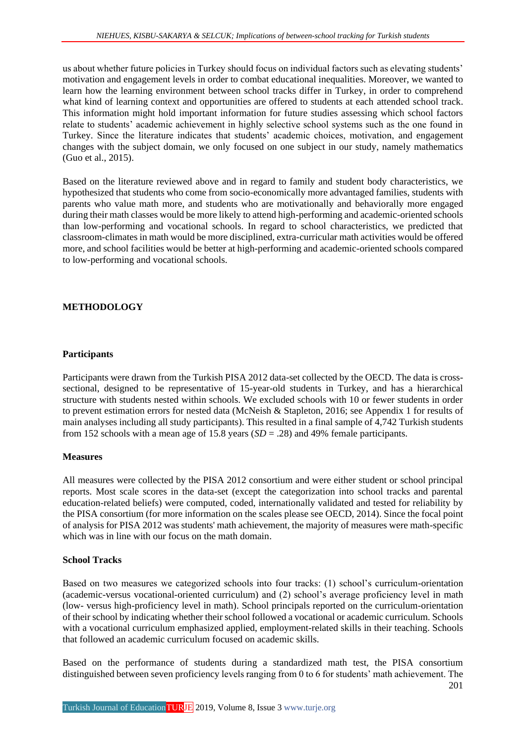us about whether future policies in Turkey should focus on individual factors such as elevating students' motivation and engagement levels in order to combat educational inequalities. Moreover, we wanted to learn how the learning environment between school tracks differ in Turkey, in order to comprehend what kind of learning context and opportunities are offered to students at each attended school track. This information might hold important information for future studies assessing which school factors relate to students' academic achievement in highly selective school systems such as the one found in Turkey. Since the literature indicates that students' academic choices, motivation, and engagement changes with the subject domain, we only focused on one subject in our study, namely mathematics (Guo et al., 2015).

Based on the literature reviewed above and in regard to family and student body characteristics, we hypothesized that students who come from socio-economically more advantaged families, students with parents who value math more, and students who are motivationally and behaviorally more engaged during their math classes would be more likely to attend high-performing and academic-oriented schools than low-performing and vocational schools. In regard to school characteristics, we predicted that classroom-climates in math would be more disciplined, extra-curricular math activities would be offered more, and school facilities would be better at high-performing and academic-oriented schools compared to low-performing and vocational schools.

## **METHODOLOGY**

#### **Participants**

Participants were drawn from the Turkish PISA 2012 data-set collected by the OECD. The data is crosssectional, designed to be representative of 15-year-old students in Turkey, and has a hierarchical structure with students nested within schools. We excluded schools with 10 or fewer students in order to prevent estimation errors for nested data (McNeish & Stapleton, 2016; see Appendix 1 for results of main analyses including all study participants). This resulted in a final sample of 4,742 Turkish students from 152 schools with a mean age of 15.8 years (*SD* = .28) and 49% female participants.

#### **Measures**

All measures were collected by the PISA 2012 consortium and were either student or school principal reports. Most scale scores in the data-set (except the categorization into school tracks and parental education-related beliefs) were computed, coded, internationally validated and tested for reliability by the PISA consortium (for more information on the scales please see OECD, 2014). Since the focal point of analysis for PISA 2012 was students' math achievement, the majority of measures were math-specific which was in line with our focus on the math domain.

### **School Tracks**

Based on two measures we categorized schools into four tracks: (1) school's curriculum-orientation (academic-versus vocational-oriented curriculum) and (2) school's average proficiency level in math (low- versus high-proficiency level in math). School principals reported on the curriculum-orientation of their school by indicating whether their school followed a vocational or academic curriculum. Schools with a vocational curriculum emphasized applied, employment-related skills in their teaching. Schools that followed an academic curriculum focused on academic skills.

201 Based on the performance of students during a standardized math test, the PISA consortium distinguished between seven proficiency levels ranging from 0 to 6 for students' math achievement. The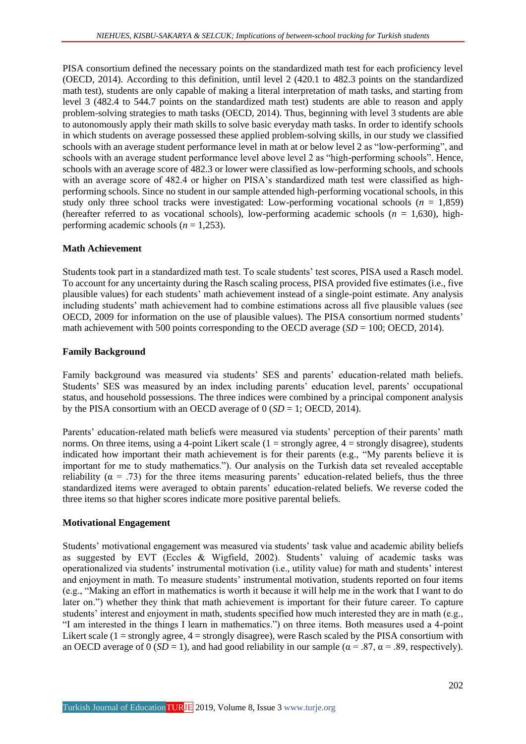PISA consortium defined the necessary points on the standardized math test for each proficiency level (OECD, 2014). According to this definition, until level 2 (420.1 to 482.3 points on the standardized math test), students are only capable of making a literal interpretation of math tasks, and starting from level 3 (482.4 to 544.7 points on the standardized math test) students are able to reason and apply problem-solving strategies to math tasks (OECD, 2014). Thus, beginning with level 3 students are able to autonomously apply their math skills to solve basic everyday math tasks. In order to identify schools in which students on average possessed these applied problem-solving skills, in our study we classified schools with an average student performance level in math at or below level 2 as "low-performing", and schools with an average student performance level above level 2 as "high-performing schools". Hence, schools with an average score of 482.3 or lower were classified as low-performing schools, and schools with an average score of 482.4 or higher on PISA's standardized math test were classified as highperforming schools. Since no student in our sample attended high-performing vocational schools, in this study only three school tracks were investigated: Low-performing vocational schools  $(n = 1,859)$ (hereafter referred to as vocational schools), low-performing academic schools ( $n = 1,630$ ), highperforming academic schools (*n* = 1,253).

## **Math Achievement**

Students took part in a standardized math test. To scale students' test scores, PISA used a Rasch model. To account for any uncertainty during the Rasch scaling process, PISA provided five estimates (i.e., five plausible values) for each students' math achievement instead of a single-point estimate. Any analysis including students' math achievement had to combine estimations across all five plausible values (see OECD, 2009 for information on the use of plausible values). The PISA consortium normed students' math achievement with 500 points corresponding to the OECD average (*SD* = 100; OECD, 2014).

## **Family Background**

Family background was measured via students' SES and parents' education-related math beliefs. Students' SES was measured by an index including parents' education level, parents' occupational status, and household possessions. The three indices were combined by a principal component analysis by the PISA consortium with an OECD average of 0 (*SD* = 1; OECD, 2014).

Parents' education-related math beliefs were measured via students' perception of their parents' math norms. On three items, using a 4-point Likert scale  $(1 = \text{strongly agree}, 4 = \text{strongly disagree})$ , students indicated how important their math achievement is for their parents (e.g., "My parents believe it is important for me to study mathematics."). Our analysis on the Turkish data set revealed acceptable reliability ( $\alpha$  = .73) for the three items measuring parents' education-related beliefs, thus the three standardized items were averaged to obtain parents' education-related beliefs. We reverse coded the three items so that higher scores indicate more positive parental beliefs.

## **Motivational Engagement**

Students' motivational engagement was measured via students' task value and academic ability beliefs as suggested by EVT (Eccles & Wigfield, 2002). Students' valuing of academic tasks was operationalized via students' instrumental motivation (i.e., utility value) for math and students' interest and enjoyment in math. To measure students' instrumental motivation, students reported on four items (e.g., "Making an effort in mathematics is worth it because it will help me in the work that I want to do later on.") whether they think that math achievement is important for their future career. To capture students' interest and enjoyment in math, students specified how much interested they are in math (e.g., "I am interested in the things I learn in mathematics.") on three items. Both measures used a 4-point Likert scale (1 = strongly agree, 4 = strongly disagree), were Rasch scaled by the PISA consortium with an OECD average of 0 (*SD* = 1), and had good reliability in our sample ( $\alpha$  = .87,  $\alpha$  = .89, respectively).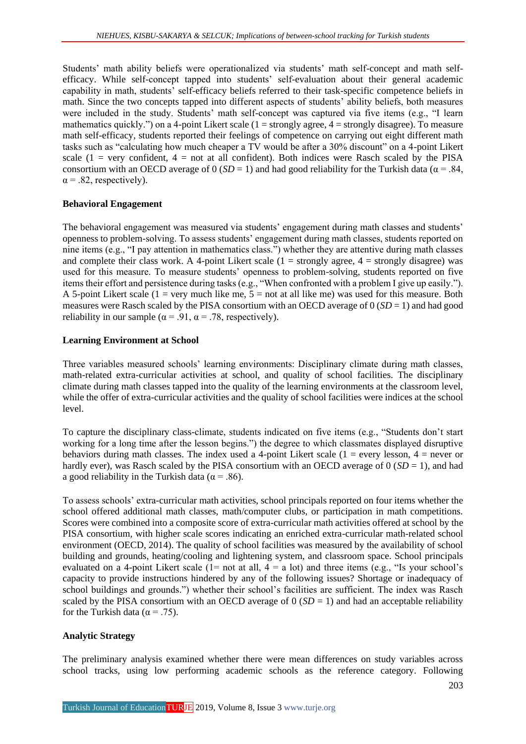Students' math ability beliefs were operationalized via students' math self-concept and math selfefficacy. While self-concept tapped into students' self-evaluation about their general academic capability in math, students' self-efficacy beliefs referred to their task-specific competence beliefs in math. Since the two concepts tapped into different aspects of students' ability beliefs, both measures were included in the study. Students' math self-concept was captured via five items (e.g., "I learn mathematics quickly.") on a 4-point Likert scale (1 = strongly agree, 4 = strongly disagree). To measure math self-efficacy, students reported their feelings of competence on carrying out eight different math tasks such as "calculating how much cheaper a TV would be after a 30% discount" on a 4-point Likert scale (1 = very confident, 4 = not at all confident). Both indices were Rasch scaled by the PISA consortium with an OECD average of  $0 (SD = 1)$  and had good reliability for the Turkish data ( $\alpha = .84$ ,  $\alpha$  = .82, respectively).

## **Behavioral Engagement**

The behavioral engagement was measured via students' engagement during math classes and students' openness to problem-solving. To assess students' engagement during math classes, students reported on nine items (e.g., "I pay attention in mathematics class.") whether they are attentive during math classes and complete their class work. A 4-point Likert scale  $(1 =$  strongly agree,  $4 =$  strongly disagree) was used for this measure. To measure students' openness to problem-solving, students reported on five items their effort and persistence during tasks (e.g., "When confronted with a problem I give up easily."). A 5-point Likert scale (1 = very much like me,  $5 = not$  at all like me) was used for this measure. Both measures were Rasch scaled by the PISA consortium with an OECD average of  $0 (SD = 1)$  and had good reliability in our sample ( $\alpha$  = .91,  $\alpha$  = .78, respectively).

## **Learning Environment at School**

Three variables measured schools' learning environments: Disciplinary climate during math classes, math-related extra-curricular activities at school, and quality of school facilities. The disciplinary climate during math classes tapped into the quality of the learning environments at the classroom level, while the offer of extra-curricular activities and the quality of school facilities were indices at the school level.

To capture the disciplinary class-climate, students indicated on five items (e.g., "Students don't start working for a long time after the lesson begins.") the degree to which classmates displayed disruptive behaviors during math classes. The index used a 4-point Likert scale  $(1 = \text{every lesson}, 4 = \text{never or})$ hardly ever), was Rasch scaled by the PISA consortium with an OECD average of  $0 (SD = 1)$ , and had a good reliability in the Turkish data ( $\alpha$  = .86).

To assess schools' extra-curricular math activities, school principals reported on four items whether the school offered additional math classes, math/computer clubs, or participation in math competitions. Scores were combined into a composite score of extra-curricular math activities offered at school by the PISA consortium, with higher scale scores indicating an enriched extra-curricular math-related school environment (OECD, 2014). The quality of school facilities was measured by the availability of school building and grounds, heating/cooling and lightening system, and classroom space. School principals evaluated on a 4-point Likert scale ( $1=$  not at all,  $4=$  a lot) and three items (e.g., "Is your school's capacity to provide instructions hindered by any of the following issues? Shortage or inadequacy of school buildings and grounds.") whether their school's facilities are sufficient. The index was Rasch scaled by the PISA consortium with an OECD average of  $0 (SD = 1)$  and had an acceptable reliability for the Turkish data ( $\alpha$  = .75).

## **Analytic Strategy**

The preliminary analysis examined whether there were mean differences on study variables across school tracks, using low performing academic schools as the reference category. Following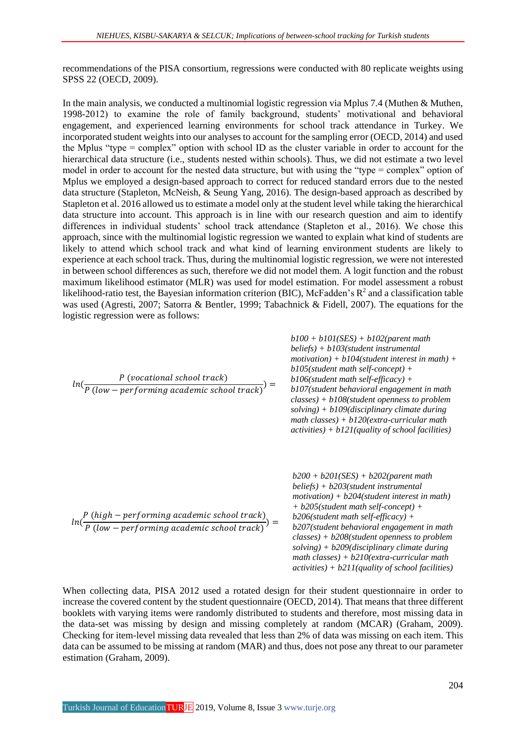recommendations of the PISA consortium, regressions were conducted with 80 replicate weights using SPSS 22 (OECD, 2009).

In the main analysis, we conducted a multinomial logistic regression via Mplus 7.4 (Muthen & Muthen, 1998-2012) to examine the role of family background, students' motivational and behavioral engagement, and experienced learning environments for school track attendance in Turkey. We incorporated student weights into our analyses to account for the sampling error (OECD, 2014) and used the Mplus "type = complex" option with school ID as the cluster variable in order to account for the hierarchical data structure (i.e., students nested within schools). Thus, we did not estimate a two level model in order to account for the nested data structure, but with using the "type = complex" option of Mplus we employed a design-based approach to correct for reduced standard errors due to the nested data structure (Stapleton, McNeish, & Seung Yang, 2016). The design-based approach as described by Stapleton et al. 2016 allowed us to estimate a model only at the student level while taking the hierarchical data structure into account. This approach is in line with our research question and aim to identify differences in individual students' school track attendance (Stapleton et al., 2016). We chose this approach, since with the multinomial logistic regression we wanted to explain what kind of students are likely to attend which school track and what kind of learning environment students are likely to experience at each school track. Thus, during the multinomial logistic regression, we were not interested in between school differences as such, therefore we did not model them. A logit function and the robust maximum likelihood estimator (MLR) was used for model estimation. For model assessment a robust likelihood-ratio test, the Bayesian information criterion (BIC), McFadden's  $R^2$  and a classification table was used (Agresti, 2007; Satorra & Bentler, 1999; Tabachnick & Fidell, 2007). The equations for the logistic regression were as follows:

| $ln(\frac{P\left(vocational\, school\, track\right)}{P\left( low-performing\, academic\, school\, track\right)}$ | $b100 + b101$ (SES) + $b102$ (parent math<br>$beliefs) + b103$ (student instrumental<br>motivation) + $b104$ (student interest in math) +<br>$b105$ (student math self-concept) +<br>$b106$ (student math self-efficacy) +<br>b107(student behavioral engagement in math<br>$classes$ ) + b108(student openness to problem<br>$solving$ ) + $b109$ (disciplinary climate during<br>math classes) + $b120$ (extra-curricular math<br>$activities) + b121$ (quality of school facilities) |
|------------------------------------------------------------------------------------------------------------------|-----------------------------------------------------------------------------------------------------------------------------------------------------------------------------------------------------------------------------------------------------------------------------------------------------------------------------------------------------------------------------------------------------------------------------------------------------------------------------------------|
| $ln(\frac{P(high-performing academic school track)}{P(low-performing academic school track)}) =$                 | $b200 + b201(SES) + b202(parent math)$<br>$beliefs) + b203(student\ instrumental$<br>$motion) + b204$ (student interest in math)<br>$+ b205$ (student math self-concept) +<br>$b206$ (student math self-efficacy) +<br>b207(student behavioral engagement in math<br>$classes$ ) + b208(student openness to problem<br>$solving$ ) + $b209$ (disciplinary climate during<br>math classes) + $b210$ (extra-curricular math<br>$activities) + b211$ (quality of school facilities)        |

When collecting data, PISA 2012 used a rotated design for their student questionnaire in order to increase the covered content by the student questionnaire (OECD, 2014). That means that three different booklets with varying items were randomly distributed to students and therefore, most missing data in the data-set was missing by design and missing completely at random (MCAR) (Graham, 2009). Checking for item-level missing data revealed that less than 2% of data was missing on each item. This data can be assumed to be missing at random (MAR) and thus, does not pose any threat to our parameter estimation (Graham, 2009).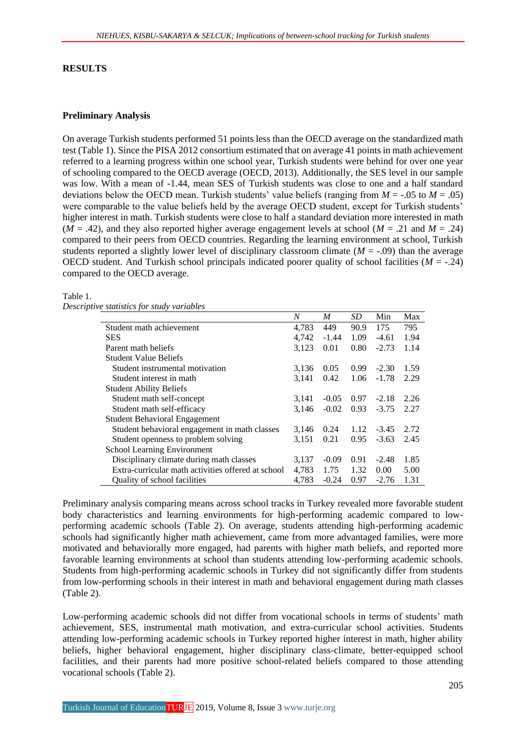#### **RESULTS**

### **Preliminary Analysis**

On average Turkish students performed 51 points less than the OECD average on the standardized math test (Table 1). Since the PISA 2012 consortium estimated that on average 41 points in math achievement referred to a learning progress within one school year, Turkish students were behind for over one year of schooling compared to the OECD average (OECD, 2013). Additionally, the SES level in our sample was low. With a mean of -1.44, mean SES of Turkish students was close to one and a half standard deviations below the OECD mean. Turkish students' value beliefs (ranging from  $M = -0.05$  to  $M = 0.05$ ) were comparable to the value beliefs held by the average OECD student, except for Turkish students' higher interest in math. Turkish students were close to half a standard deviation more interested in math  $(M = .42)$ , and they also reported higher average engagement levels at school  $(M = .21$  and  $M = .24)$ compared to their peers from OECD countries. Regarding the learning environment at school, Turkish students reported a slightly lower level of disciplinary classroom climate ( $M = -0.09$ ) than the average OECD student. And Turkish school principals indicated poorer quality of school facilities  $(M = -0.24)$ compared to the OECD average.

### Table 1.

| Descriptive statistics for study variables |  |  |
|--------------------------------------------|--|--|
|                                            |  |  |

|                                                    | N     | M       | SD   | Min     | Max  |
|----------------------------------------------------|-------|---------|------|---------|------|
| Student math achievement                           | 4.783 | 449     | 90.9 | 175     | 795  |
| <b>SES</b>                                         | 4,742 | $-1.44$ | 1.09 | $-4.61$ | 1.94 |
| Parent math beliefs                                | 3,123 | 0.01    | 0.80 | $-2.73$ | 1.14 |
| <b>Student Value Beliefs</b>                       |       |         |      |         |      |
| Student instrumental motivation                    | 3,136 | 0.05    | 0.99 | $-2.30$ | 1.59 |
| Student interest in math                           | 3,141 | 0.42    | 1.06 | $-1.78$ | 2.29 |
| <b>Student Ability Beliefs</b>                     |       |         |      |         |      |
| Student math self-concept                          | 3,141 | $-0.05$ | 0.97 | $-2.18$ | 2.26 |
| Student math self-efficacy                         | 3,146 | $-0.02$ | 0.93 | $-3.75$ | 2.27 |
| <b>Student Behavioral Engagement</b>               |       |         |      |         |      |
| Student behavioral engagement in math classes      | 3,146 | 0.24    | 1.12 | $-3.45$ | 2.72 |
| Student openness to problem solving                | 3,151 | 0.21    | 0.95 | $-3.63$ | 2.45 |
| <b>School Learning Environment</b>                 |       |         |      |         |      |
| Disciplinary climate during math classes           | 3,137 | $-0.09$ | 0.91 | $-2.48$ | 1.85 |
| Extra-curricular math activities offered at school | 4,783 | 1.75    | 1.32 | 0.00    | 5.00 |
| Quality of school facilities                       | 4.783 | $-0.24$ | 0.97 | $-2.76$ | 1.31 |

Preliminary analysis comparing means across school tracks in Turkey revealed more favorable student body characteristics and learning environments for high-performing academic compared to lowperforming academic schools (Table 2). On average, students attending high-performing academic schools had significantly higher math achievement, came from more advantaged families, were more motivated and behaviorally more engaged, had parents with higher math beliefs, and reported more favorable learning environments at school than students attending low-performing academic schools. Students from high-performing academic schools in Turkey did not significantly differ from students from low-performing schools in their interest in math and behavioral engagement during math classes (Table 2).

Low-performing academic schools did not differ from vocational schools in terms of students' math achievement, SES, instrumental math motivation, and extra-curricular school activities. Students attending low-performing academic schools in Turkey reported higher interest in math, higher ability beliefs, higher behavioral engagement, higher disciplinary class-climate, better-equipped school facilities, and their parents had more positive school-related beliefs compared to those attending vocational schools (Table 2).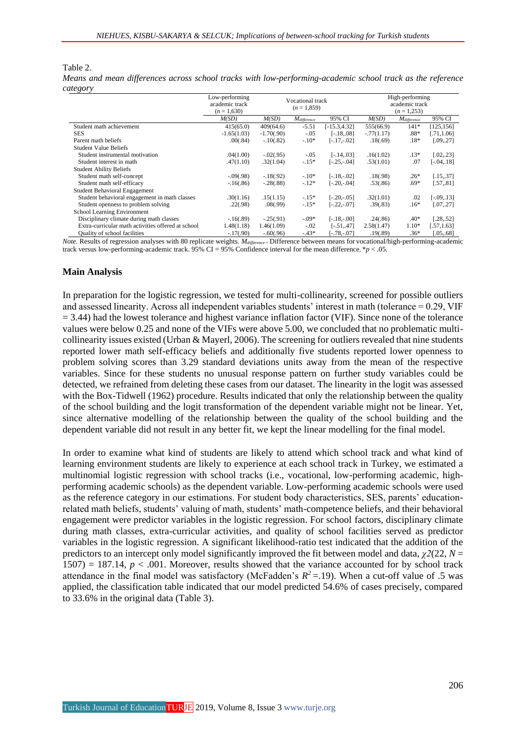#### Table 2.

*Means and mean differences across school tracks with low-performing-academic school track as the reference category*

|                                                    | Low-performing<br>academic track<br>$(n=1,630)$ | Vocational track<br>$(n=1.859)$ |                  |                 | High-performing | academic track   |               |
|----------------------------------------------------|-------------------------------------------------|---------------------------------|------------------|-----------------|-----------------|------------------|---------------|
|                                                    | M(SD)                                           | M(SD)                           | $M_{difference}$ | 95% CI          | M(SD)           | $M_{difference}$ | 95% CI        |
| Student math achievement                           | 415(65.0)                                       | 409(64.6)                       | $-5.51$          | $[-15.3, 4.32]$ | 555(66.9)       | $141*$           | [125, 156]    |
| <b>SES</b>                                         | $-1.65(1.03)$                                   | $-1.70(.90)$                    | $-.05$           | $[-.18, .08]$   | $-.77(1.17)$    | $.88*$           | [.71, 1.06]   |
| Parent math beliefs                                | .00(.84)                                        | $-.10(.82)$                     | $-.10*$          | $[-.17,-.02]$   | .18(.69)        | $.18*$           | [.09, .27]    |
| <b>Student Value Beliefs</b>                       |                                                 |                                 |                  |                 |                 |                  |               |
| Student instrumental motivation                    | .04(1.00)                                       | $-0.02(0.95)$                   | $-.05$           | $[-.14, .03]$   | .16(1.02)       | $.13*$           | [.02, .23]    |
| Student interest in math                           | .47(1.10)                                       | .32(1.04)                       | $-.15*$          | $[-.25,-.04]$   | .53(1.01)       | .07              | [-.04,.18]    |
| <b>Student Ability Beliefs</b>                     |                                                 |                                 |                  |                 |                 |                  |               |
| Student math self-concept                          | $-0.09(0.98)$                                   | $-.18(.92)$                     | $-10*$           | $[-.18,-.02]$   | .18(.98)        | $.26*$           | [.15, .37]    |
| Student math self-efficacy                         | $-16(.86)$                                      | $-.28(.88)$                     | $-.12*$          | $[-.20,-.04]$   | .53(.86)        | $.69*$           | [.57, .81]    |
| Student Behavioral Engagement                      |                                                 |                                 |                  |                 |                 |                  |               |
| Student behavioral engagement in math classes      | .30(1.16)                                       | .15(1.15)                       | $-.15*$          | $[-.20,-.05]$   | .32(1.01)       | .02              | $[-.09, .13]$ |
| Student openness to problem solving                | .22(.98)                                        | .08(.99)                        | $-.15*$          | $[-.22,-.07]$   | .39(.83)        | $.16*$           | [.07, .27]    |
| School Learning Environment                        |                                                 |                                 |                  |                 |                 |                  |               |
| Disciplinary climate during math classes           | $-16(.89)$                                      | $-.25(.91)$                     | $-.09*$          | $[-.18,-.00]$   | .24(.86)        | $.40*$           | [.28, .52]    |
| Extra-curricular math activities offered at school | 1.48(1.18)                                      | 1.46(1.09)                      | $-.02$           | $[-.51, .47]$   | 2.58(1.47)      | $1.10*$          | [.57, 1.63]   |
| <b>Ouality of school facilities</b>                | $-17(.90)$                                      | $-.60(.96)$                     | $-43*$           | $[-.78,-.07]$   | .19(.89)        | $.36*$           | [.05, .68]    |

*Note.* Results of regression analyses with 80 replicate weights. *Mdifference* <sup>=</sup>Difference between means for vocational/high-performing-academic track versus low-performing-academic track. 95% CI = 95% Confidence interval for the mean difference.  $*p < .05$ .

#### **Main Analysis**

In preparation for the logistic regression, we tested for multi-collinearity, screened for possible outliers and assessed linearity. Across all independent variables students' interest in math (tolerance = 0.29, VIF  $= 3.44$ ) had the lowest tolerance and highest variance inflation factor (VIF). Since none of the tolerance values were below 0.25 and none of the VIFs were above 5.00, we concluded that no problematic multicollinearity issues existed (Urban & Mayerl, 2006). The screening for outliers revealed that nine students reported lower math self-efficacy beliefs and additionally five students reported lower openness to problem solving scores than 3.29 standard deviations units away from the mean of the respective variables. Since for these students no unusual response pattern on further study variables could be detected, we refrained from deleting these cases from our dataset. The linearity in the logit was assessed with the Box-Tidwell (1962) procedure. Results indicated that only the relationship between the quality of the school building and the logit transformation of the dependent variable might not be linear. Yet, since alternative modelling of the relationship between the quality of the school building and the dependent variable did not result in any better fit, we kept the linear modelling for the final model.

In order to examine what kind of students are likely to attend which school track and what kind of learning environment students are likely to experience at each school track in Turkey, we estimated a multinomial logistic regression with school tracks (i.e., vocational, low-performing academic, highperforming academic schools) as the dependent variable. Low-performing academic schools were used as the reference category in our estimations. For student body characteristics, SES, parents' educationrelated math beliefs, students' valuing of math, students' math-competence beliefs, and their behavioral engagement were predictor variables in the logistic regression. For school factors, disciplinary climate during math classes, extra-curricular activities, and quality of school facilities served as predictor variables in the logistic regression. A significant likelihood-ratio test indicated that the addition of the predictors to an intercept only model significantly improved the fit between model and data,  $\chi^2(22, N=$ 1507) = 187.14,  $p < .001$ . Moreover, results showed that the variance accounted for by school track attendance in the final model was satisfactory (McFadden's  $R^2 = .19$ ). When a cut-off value of .5 was applied, the classification table indicated that our model predicted 54.6% of cases precisely, compared to 33.6% in the original data (Table 3).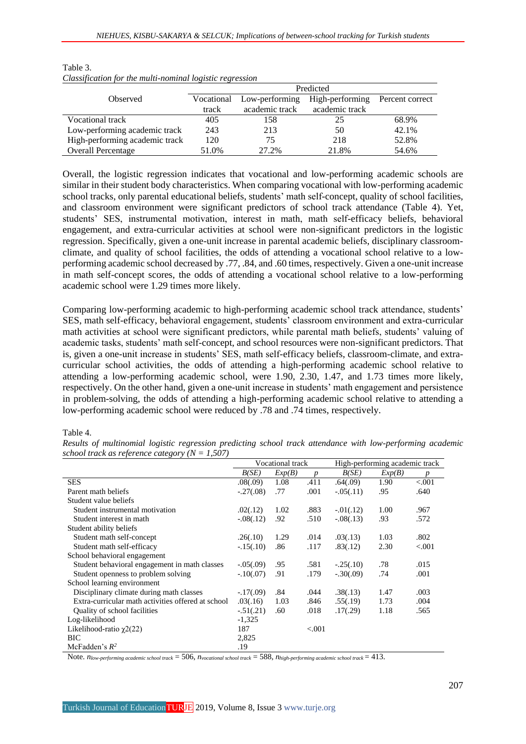|                                |                              | Predicted      |                 |                 |  |  |  |  |
|--------------------------------|------------------------------|----------------|-----------------|-----------------|--|--|--|--|
| Observed                       | Low-performing<br>Vocational |                | High-performing | Percent correct |  |  |  |  |
|                                | track                        | academic track | academic track  |                 |  |  |  |  |
| Vocational track               | 405                          | 158            | 25              | 68.9%           |  |  |  |  |
| Low-performing academic track  | 243                          | 213            | 50              | 42.1%           |  |  |  |  |
| High-performing academic track | 120                          | 75             | 218             | 52.8%           |  |  |  |  |
| <b>Overall Percentage</b>      | 51.0%                        | 27.2%          | 21.8%           | 54.6%           |  |  |  |  |

#### Table 3. *Classification for the multi-nominal logistic regression*

Overall, the logistic regression indicates that vocational and low-performing academic schools are similar in their student body characteristics. When comparing vocational with low-performing academic school tracks, only parental educational beliefs, students' math self-concept, quality of school facilities, and classroom environment were significant predictors of school track attendance (Table 4). Yet, students' SES, instrumental motivation, interest in math, math self-efficacy beliefs, behavioral engagement, and extra-curricular activities at school were non-significant predictors in the logistic regression. Specifically, given a one-unit increase in parental academic beliefs, disciplinary classroomclimate, and quality of school facilities, the odds of attending a vocational school relative to a lowperforming academic school decreased by .77, .84, and .60 times, respectively. Given a one-unit increase in math self-concept scores, the odds of attending a vocational school relative to a low-performing academic school were 1.29 times more likely.

Comparing low-performing academic to high-performing academic school track attendance, students' SES, math self-efficacy, behavioral engagement, students' classroom environment and extra-curricular math activities at school were significant predictors, while parental math beliefs, students' valuing of academic tasks, students' math self-concept, and school resources were non-significant predictors. That is, given a one-unit increase in students' SES, math self-efficacy beliefs, classroom-climate, and extracurricular school activities, the odds of attending a high-performing academic school relative to attending a low-performing academic school, were 1.90, 2.30, 1.47, and 1.73 times more likely, respectively. On the other hand, given a one-unit increase in students' math engagement and persistence in problem-solving, the odds of attending a high-performing academic school relative to attending a low-performing academic school were reduced by .78 and .74 times, respectively.

#### Table 4.

*Results of multinomial logistic regression predicting school track attendance with low-performing academic school track as reference category (N = 1,507)*

|                                                    | <b>Vocational track</b> |        |                  | High-performing academic track |        |                  |
|----------------------------------------------------|-------------------------|--------|------------------|--------------------------------|--------|------------------|
|                                                    | B(SE)                   | Exp(B) | $\boldsymbol{p}$ | B(SE)                          | Exp(B) | $\boldsymbol{p}$ |
| <b>SES</b>                                         | .08(.09)                | 1.08   | .411             | .64(.09)                       | 1.90   | < 0.001          |
| Parent math beliefs                                | $-.27(.08)$             | .77    | .001             | $-.05(.11)$                    | .95    | .640             |
| Student value beliefs                              |                         |        |                  |                                |        |                  |
| Student instrumental motivation                    | .02(.12)                | 1.02   | .883             | $-0.01(0.12)$                  | 1.00   | .967             |
| Student interest in math                           | $-.08(.12)$             | .92    | .510             | $-.08(.13)$                    | .93    | .572             |
| Student ability beliefs                            |                         |        |                  |                                |        |                  |
| Student math self-concept                          | .26(.10)                | 1.29   | .014             | .03(.13)                       | 1.03   | .802             |
| Student math self-efficacy                         | $-.15(.10)$             | .86    | .117             | .83(.12)                       | 2.30   | < 0.001          |
| School behavioral engagement                       |                         |        |                  |                                |        |                  |
| Student behavioral engagement in math classes      | $-0.05(0.09)$           | .95    | .581             | $-.25(.10)$                    | .78    | .015             |
| Student openness to problem solving                | $-.10(.07)$             | .91    | .179             | $-.30(.09)$                    | .74    | .001             |
| School learning environment                        |                         |        |                  |                                |        |                  |
| Disciplinary climate during math classes           | $-17(.09)$              | .84    | .044             | .38(.13)                       | 1.47   | .003             |
| Extra-curricular math activities offered at school | .03(.16)                | 1.03   | .846             | .55(.19)                       | 1.73   | .004             |
| Quality of school facilities                       | $-0.51(0.21)$           | .60    | .018             | .17(.29)                       | 1.18   | .565             |
| Log-likelihood                                     | $-1,325$                |        |                  |                                |        |                  |
| Likelihood-ratio $\chi$ 2(22)                      | 187                     |        | < 0.001          |                                |        |                  |
| <b>BIC</b>                                         | 2,825                   |        |                  |                                |        |                  |
| McFadden's $R^2$                                   | .19                     |        |                  |                                |        |                  |

Note. *nlow-performing academic school track* = 506, *nvocational school track* = 588, *nhigh-performing academic school track* = 413.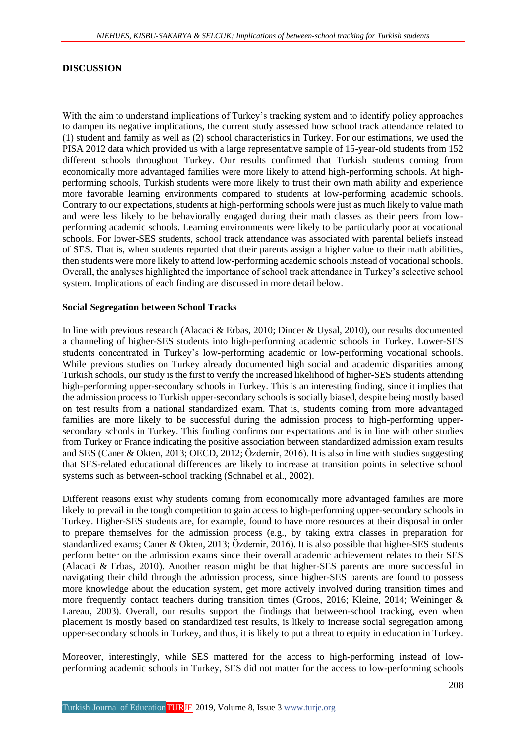#### **DISCUSSION**

With the aim to understand implications of Turkey's tracking system and to identify policy approaches to dampen its negative implications, the current study assessed how school track attendance related to (1) student and family as well as (2) school characteristics in Turkey. For our estimations, we used the PISA 2012 data which provided us with a large representative sample of 15-year-old students from 152 different schools throughout Turkey. Our results confirmed that Turkish students coming from economically more advantaged families were more likely to attend high-performing schools. At highperforming schools, Turkish students were more likely to trust their own math ability and experience more favorable learning environments compared to students at low-performing academic schools. Contrary to our expectations, students at high-performing schools were just as much likely to value math and were less likely to be behaviorally engaged during their math classes as their peers from lowperforming academic schools. Learning environments were likely to be particularly poor at vocational schools. For lower-SES students, school track attendance was associated with parental beliefs instead of SES. That is, when students reported that their parents assign a higher value to their math abilities, then students were more likely to attend low-performing academic schools instead of vocational schools. Overall, the analyses highlighted the importance of school track attendance in Turkey's selective school system. Implications of each finding are discussed in more detail below.

#### **Social Segregation between School Tracks**

In line with previous research (Alacaci & Erbas, 2010; Dincer & Uysal, 2010), our results documented a channeling of higher-SES students into high-performing academic schools in Turkey. Lower-SES students concentrated in Turkey's low-performing academic or low-performing vocational schools. While previous studies on Turkey already documented high social and academic disparities among Turkish schools, our study is the first to verify the increased likelihood of higher-SES students attending high-performing upper-secondary schools in Turkey. This is an interesting finding, since it implies that the admission process to Turkish upper-secondary schools is socially biased, despite being mostly based on test results from a national standardized exam. That is, students coming from more advantaged families are more likely to be successful during the admission process to high-performing uppersecondary schools in Turkey. This finding confirms our expectations and is in line with other studies from Turkey or France indicating the positive association between standardized admission exam results and SES (Caner & Okten, 2013; OECD, 2012; Özdemir, 2016). It is also in line with studies suggesting that SES-related educational differences are likely to increase at transition points in selective school systems such as between-school tracking (Schnabel et al., 2002).

Different reasons exist why students coming from economically more advantaged families are more likely to prevail in the tough competition to gain access to high-performing upper-secondary schools in Turkey. Higher-SES students are, for example, found to have more resources at their disposal in order to prepare themselves for the admission process (e.g., by taking extra classes in preparation for standardized exams; Caner & Okten, 2013; Özdemir, 2016). It is also possible that higher-SES students perform better on the admission exams since their overall academic achievement relates to their SES (Alacaci & Erbas, 2010). Another reason might be that higher-SES parents are more successful in navigating their child through the admission process, since higher-SES parents are found to possess more knowledge about the education system, get more actively involved during transition times and more frequently contact teachers during transition times (Groos, 2016; Kleine, 2014; Weininger & Lareau, 2003). Overall, our results support the findings that between-school tracking, even when placement is mostly based on standardized test results, is likely to increase social segregation among upper-secondary schools in Turkey, and thus, it is likely to put a threat to equity in education in Turkey.

Moreover, interestingly, while SES mattered for the access to high-performing instead of lowperforming academic schools in Turkey, SES did not matter for the access to low-performing schools

Turkish Journal of Education TURJE 2019, Volume 8, Issue 3 [www.turje.org](http://www.turje.org/)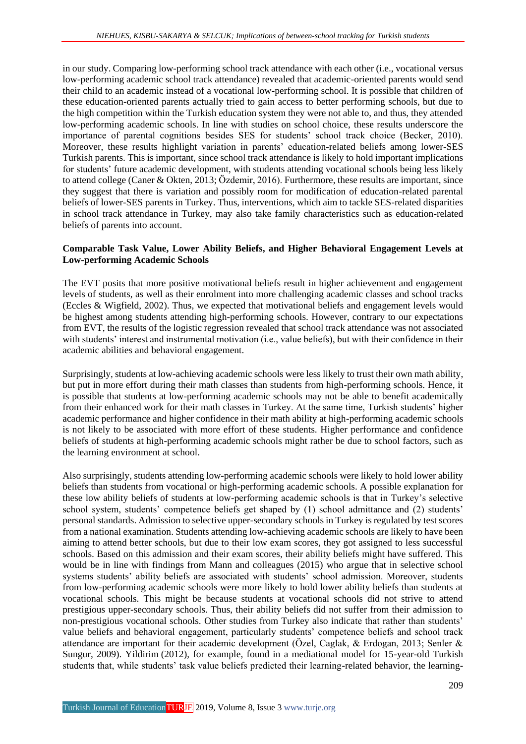in our study. Comparing low-performing school track attendance with each other (i.e., vocational versus low-performing academic school track attendance) revealed that academic-oriented parents would send their child to an academic instead of a vocational low-performing school. It is possible that children of these education-oriented parents actually tried to gain access to better performing schools, but due to the high competition within the Turkish education system they were not able to, and thus, they attended low-performing academic schools. In line with studies on school choice, these results underscore the importance of parental cognitions besides SES for students' school track choice (Becker, 2010). Moreover, these results highlight variation in parents' education-related beliefs among lower-SES Turkish parents. This is important, since school track attendance is likely to hold important implications for students' future academic development, with students attending vocational schools being less likely to attend college (Caner & Okten, 2013; Özdemir, 2016). Furthermore, these results are important, since they suggest that there is variation and possibly room for modification of education-related parental beliefs of lower-SES parents in Turkey. Thus, interventions, which aim to tackle SES-related disparities in school track attendance in Turkey, may also take family characteristics such as education-related beliefs of parents into account.

## **Comparable Task Value, Lower Ability Beliefs, and Higher Behavioral Engagement Levels at Low-performing Academic Schools**

The EVT posits that more positive motivational beliefs result in higher achievement and engagement levels of students, as well as their enrolment into more challenging academic classes and school tracks (Eccles & Wigfield, 2002). Thus, we expected that motivational beliefs and engagement levels would be highest among students attending high-performing schools. However, contrary to our expectations from EVT, the results of the logistic regression revealed that school track attendance was not associated with students' interest and instrumental motivation (i.e., value beliefs), but with their confidence in their academic abilities and behavioral engagement.

Surprisingly, students at low-achieving academic schools were less likely to trust their own math ability, but put in more effort during their math classes than students from high-performing schools. Hence, it is possible that students at low-performing academic schools may not be able to benefit academically from their enhanced work for their math classes in Turkey. At the same time, Turkish students' higher academic performance and higher confidence in their math ability at high-performing academic schools is not likely to be associated with more effort of these students. Higher performance and confidence beliefs of students at high-performing academic schools might rather be due to school factors, such as the learning environment at school.

Also surprisingly, students attending low-performing academic schools were likely to hold lower ability beliefs than students from vocational or high-performing academic schools. A possible explanation for these low ability beliefs of students at low-performing academic schools is that in Turkey's selective school system, students' competence beliefs get shaped by (1) school admittance and (2) students' personal standards. Admission to selective upper-secondary schools in Turkey is regulated by test scores from a national examination. Students attending low-achieving academic schools are likely to have been aiming to attend better schools, but due to their low exam scores, they got assigned to less successful schools. Based on this admission and their exam scores, their ability beliefs might have suffered. This would be in line with findings from Mann and colleagues (2015) who argue that in selective school systems students' ability beliefs are associated with students' school admission. Moreover, students from low-performing academic schools were more likely to hold lower ability beliefs than students at vocational schools. This might be because students at vocational schools did not strive to attend prestigious upper-secondary schools. Thus, their ability beliefs did not suffer from their admission to non-prestigious vocational schools. Other studies from Turkey also indicate that rather than students' value beliefs and behavioral engagement, particularly students' competence beliefs and school track attendance are important for their academic development (Özel, Caglak, & Erdogan, 2013; Senler & Sungur, 2009). Yildirim (2012), for example, found in a mediational model for 15-year-old Turkish students that, while students' task value beliefs predicted their learning-related behavior, the learning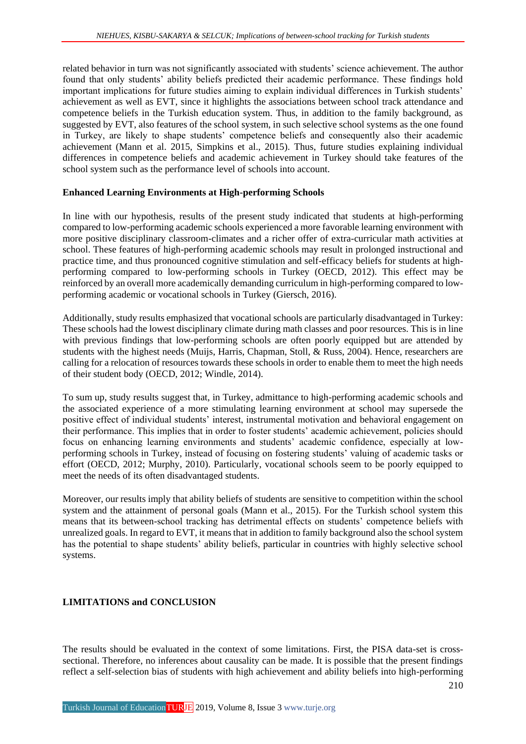related behavior in turn was not significantly associated with students' science achievement. The author found that only students' ability beliefs predicted their academic performance. These findings hold important implications for future studies aiming to explain individual differences in Turkish students' achievement as well as EVT, since it highlights the associations between school track attendance and competence beliefs in the Turkish education system. Thus, in addition to the family background, as suggested by EVT, also features of the school system, in such selective school systems as the one found in Turkey, are likely to shape students' competence beliefs and consequently also their academic achievement (Mann et al. 2015, Simpkins et al., 2015). Thus, future studies explaining individual differences in competence beliefs and academic achievement in Turkey should take features of the school system such as the performance level of schools into account.

## **Enhanced Learning Environments at High-performing Schools**

In line with our hypothesis, results of the present study indicated that students at high-performing compared to low-performing academic schools experienced a more favorable learning environment with more positive disciplinary classroom-climates and a richer offer of extra-curricular math activities at school. These features of high-performing academic schools may result in prolonged instructional and practice time, and thus pronounced cognitive stimulation and self-efficacy beliefs for students at highperforming compared to low-performing schools in Turkey (OECD, 2012). This effect may be reinforced by an overall more academically demanding curriculum in high-performing compared to lowperforming academic or vocational schools in Turkey (Giersch, 2016).

Additionally, study results emphasized that vocational schools are particularly disadvantaged in Turkey: These schools had the lowest disciplinary climate during math classes and poor resources. This is in line with previous findings that low-performing schools are often poorly equipped but are attended by students with the highest needs (Muijs, Harris, Chapman, Stoll, & Russ, 2004). Hence, researchers are calling for a relocation of resources towards these schools in order to enable them to meet the high needs of their student body (OECD, 2012; Windle, 2014).

To sum up, study results suggest that, in Turkey, admittance to high-performing academic schools and the associated experience of a more stimulating learning environment at school may supersede the positive effect of individual students' interest, instrumental motivation and behavioral engagement on their performance. This implies that in order to foster students' academic achievement, policies should focus on enhancing learning environments and students' academic confidence, especially at lowperforming schools in Turkey, instead of focusing on fostering students' valuing of academic tasks or effort (OECD, 2012; Murphy, 2010). Particularly, vocational schools seem to be poorly equipped to meet the needs of its often disadvantaged students.

Moreover, our results imply that ability beliefs of students are sensitive to competition within the school system and the attainment of personal goals (Mann et al., 2015). For the Turkish school system this means that its between-school tracking has detrimental effects on students' competence beliefs with unrealized goals. In regard to EVT, it means that in addition to family background also the school system has the potential to shape students' ability beliefs, particular in countries with highly selective school systems.

## **LIMITATIONS and CONCLUSION**

The results should be evaluated in the context of some limitations. First, the PISA data-set is crosssectional. Therefore, no inferences about causality can be made. It is possible that the present findings reflect a self-selection bias of students with high achievement and ability beliefs into high-performing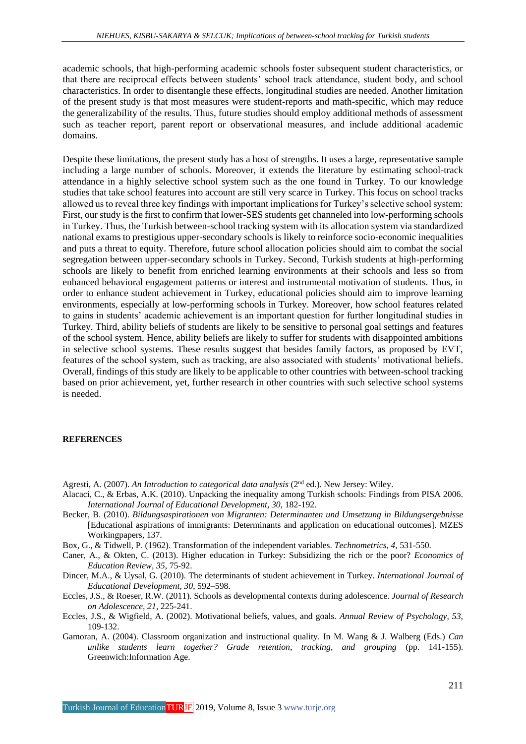academic schools, that high-performing academic schools foster subsequent student characteristics, or that there are reciprocal effects between students' school track attendance, student body, and school characteristics. In order to disentangle these effects, longitudinal studies are needed. Another limitation of the present study is that most measures were student-reports and math-specific, which may reduce the generalizability of the results. Thus, future studies should employ additional methods of assessment such as teacher report, parent report or observational measures, and include additional academic domains.

Despite these limitations, the present study has a host of strengths. It uses a large, representative sample including a large number of schools. Moreover, it extends the literature by estimating school-track attendance in a highly selective school system such as the one found in Turkey. To our knowledge studies that take school features into account are still very scarce in Turkey. This focus on school tracks allowed us to reveal three key findings with important implications for Turkey's selective school system: First, our study is the first to confirm that lower-SES students get channeled into low-performing schools in Turkey. Thus, the Turkish between-school tracking system with its allocation system via standardized national exams to prestigious upper-secondary schools is likely to reinforce socio-economic inequalities and puts a threat to equity. Therefore, future school allocation policies should aim to combat the social segregation between upper-secondary schools in Turkey. Second, Turkish students at high-performing schools are likely to benefit from enriched learning environments at their schools and less so from enhanced behavioral engagement patterns or interest and instrumental motivation of students. Thus, in order to enhance student achievement in Turkey, educational policies should aim to improve learning environments, especially at low-performing schools in Turkey. Moreover, how school features related to gains in students' academic achievement is an important question for further longitudinal studies in Turkey. Third, ability beliefs of students are likely to be sensitive to personal goal settings and features of the school system. Hence, ability beliefs are likely to suffer for students with disappointed ambitions in selective school systems. These results suggest that besides family factors, as proposed by EVT, features of the school system, such as tracking, are also associated with students' motivational beliefs. Overall, findings of this study are likely to be applicable to other countries with between-school tracking based on prior achievement, yet, further research in other countries with such selective school systems is needed.

### **REFERENCES**

- Agresti, A. (2007). *An Introduction to categorical data analysis* (2<sup>nd</sup> ed.). New Jersey: Wiley.
- Alacaci, C., & Erbas, A.K. (2010). Unpacking the inequality among Turkish schools: Findings from PISA 2006. *International Journal of Educational Development, 30*, 182-192.
- Becker, B. (2010). *Bildungsaspirationen von Migranten: Determinanten und Umsetzung in Bildungsergebnisse*  [Educational aspirations of immigrants: Determinants and application on educational outcomes]. MZES Workingpapers, 137.
- Box, G., & Tidwell, P. (1962). Transformation of the independent variables. *Technometrics, 4*, 531-550.
- Caner, A., & Okten, C. (2013). Higher education in Turkey: Subsidizing the rich or the poor? *Economics of Education Review, 35,* 75-92.
- Dincer, M.A., & Uysal, G. (2010). The determinants of student achievement in Turkey. *International Journal of Educational Development, 30*, 592–598.
- Eccles, J.S., & Roeser, R.W. (2011). Schools as developmental contexts during adolescence. *Journal of Research on Adolescence, 21*, 225-241.
- Eccles, J.S., & Wigfield, A. (2002). Motivational beliefs, values, and goals. *Annual Review of Psychology, 53,*  109-132.
- Gamoran, A. (2004). Classroom organization and instructional quality. In M. Wang & J. Walberg (Eds.) *Can unlike students learn together? Grade retention, tracking, and grouping* (pp. 141-155). Greenwich:Information Age.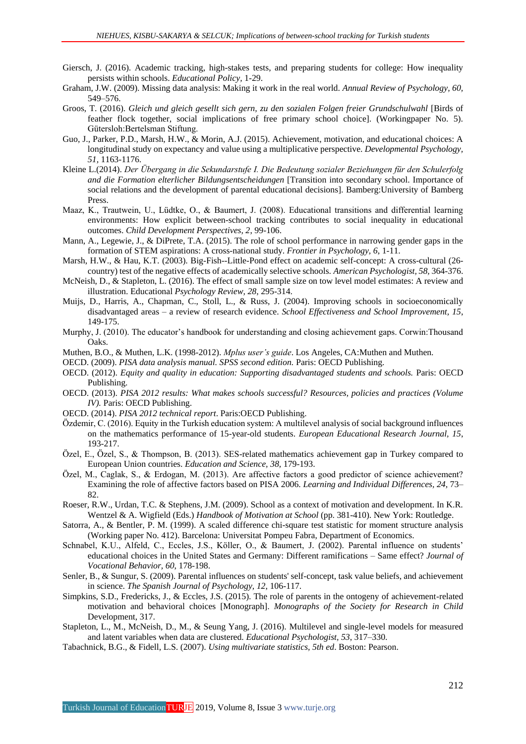- Giersch, J. (2016). Academic tracking, high-stakes tests, and preparing students for college: How inequality persists within schools. *Educational Policy,* 1-29.
- Graham, J.W. (2009). Missing data analysis: Making it work in the real world. *Annual Review of Psychology, 60,*  549–576.
- Groos, T. (2016). *Gleich und gleich gesellt sich gern, zu den sozialen Folgen freier Grundschulwahl* [Birds of feather flock together, social implications of free primary school choice]. (Workingpaper No. 5). Gütersloh:Bertelsman Stiftung.
- Guo, J., Parker, P.D., Marsh, H.W., & Morin, A.J. (2015). Achievement, motivation, and educational choices: A longitudinal study on expectancy and value using a multiplicative perspective. *Developmental Psychology, 51,* 1163-1176.
- Kleine L.(2014). *Der Übergang in die Sekundarstufe I. Die Bedeutung sozialer Beziehungen für den Schulerfolg and die Formation elterlicher Bildungsentscheidungen* [Transition into secondary school. Importance of social relations and the development of parental educational decisions]. Bamberg:University of Bamberg Press.
- Maaz, K., Trautwein, U., Lüdtke, O., & Baumert, J. (2008). Educational transitions and differential learning environments: How explicit between-school tracking contributes to social inequality in educational outcomes. *Child Development Perspectives, 2*, 99-106.
- Mann, A., Legewie, J., & DiPrete, T.A. (2015). The role of school performance in narrowing gender gaps in the formation of STEM aspirations: A cross-national study. *Frontier in Psychology, 6*, 1-11.
- Marsh, H.W., & Hau, K.T. (2003). Big-Fish--Little-Pond effect on academic self-concept: A cross-cultural (26 country) test of the negative effects of academically selective schools. *American Psychologist, 58,* 364-376.
- McNeish, D., & Stapleton, L. (2016). The effect of small sample size on tow level model estimates: A review and illustration. Educational *Psychology Review, 28*, 295-314.
- Muijs, D., Harris, A., Chapman, C., Stoll, L., & Russ, J. (2004). Improving schools in socioeconomically disadvantaged areas – a review of research evidence. *School Effectiveness and School Improvement, 15*, 149-175.
- Murphy, J. (2010). The educator's handbook for understanding and closing achievement gaps. Corwin:Thousand Oaks.
- Muthen, B.O., & Muthen, L.K. (1998-2012). *Mplus user's guide*. Los Angeles, CA:Muthen and Muthen.
- OECD. (2009). *PISA data analysis manual. SPSS second edition.* Paris: OECD Publishing.
- OECD. (2012). *Equity and quality in education: Supporting disadvantaged students and schools.* Paris: OECD Publishing.
- OECD. (2013). *PISA 2012 results: What makes schools successful? Resources, policies and practices (Volume IV).* Paris: OECD Publishing.
- OECD. (2014). *PISA 2012 technical report*. Paris:OECD Publishing.
- Özdemir, C. (2016). Equity in the Turkish education system: A multilevel analysis of social background influences on the mathematics performance of 15-year-old students. *European Educational Research Journal, 15*, 193-217.
- Özel, E., Özel, S., & Thompson, B. (2013). SES-related mathematics achievement gap in Turkey compared to European Union countries. *Education and Science, 38,* 179-193.
- Özel, M., Caglak, S., & Erdogan, M. (2013). Are affective factors a good predictor of science achievement? Examining the role of affective factors based on PISA 2006. *Learning and Individual Differences, 24,* 73– 82.
- Roeser, R.W., Urdan, T.C. & Stephens, J.M. (2009). School as a context of motivation and development. In K.R. Wentzel & A. Wigfield (Eds.) *Handbook of Motivation at School* (pp. 381-410). New York: Routledge.
- Satorra, A., & Bentler, P. M. (1999). A scaled difference chi-square test statistic for moment structure analysis (Working paper No. 412). Barcelona: Universitat Pompeu Fabra, Department of Economics.
- Schnabel, K.U., Alfeld, C., Eccles, J.S., Köller, O., & Baumert, J. (2002). Parental influence on students' educational choices in the United States and Germany: Different ramifications – Same effect? *Journal of Vocational Behavior, 60*, 178-198.
- Senler, B., & Sungur, S. (2009). Parental influences on students' self-concept, task value beliefs, and achievement in science. *The Spanish Journal of Psychology, 12*, 106-117.
- Simpkins, S.D., Fredericks, J., & Eccles, J.S. (2015). The role of parents in the ontogeny of achievement-related motivation and behavioral choices [Monograph]. *Monographs of the Society for Research in Child*  Development, 317.
- Stapleton, L., M., McNeish, D., M., & Seung Yang, J. (2016). Multilevel and single-level models for measured and latent variables when data are clustered. *Educational Psychologist, 53*, 317–330.
- Tabachnick, B.G., & Fidell, L.S. (2007). *Using multivariate statistics, 5th ed*. Boston: Pearson.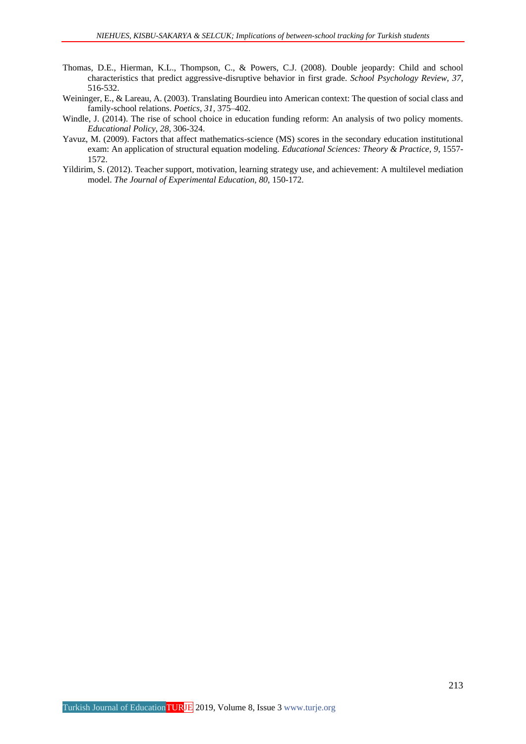- Thomas, D.E., Hierman, K.L., Thompson, C., & Powers, C.J. (2008). Double jeopardy: Child and school characteristics that predict aggressive-disruptive behavior in first grade. *School Psychology Review, 37*, 516-532.
- Weininger, E., & Lareau, A. (2003). Translating Bourdieu into American context: The question of social class and family-school relations. *Poetics, 31,* 375–402.
- Windle, J. (2014). The rise of school choice in education funding reform: An analysis of two policy moments*. Educational Policy, 28,* 306-324.
- Yavuz, M. (2009). Factors that affect mathematics-science (MS) scores in the secondary education institutional exam: An application of structural equation modeling. *Educational Sciences: Theory & Practice, 9*, 1557- 1572.
- Yildirim, S. (2012). Teacher support, motivation, learning strategy use, and achievement: A multilevel mediation model. *The Journal of Experimental Education, 80*, 150-172.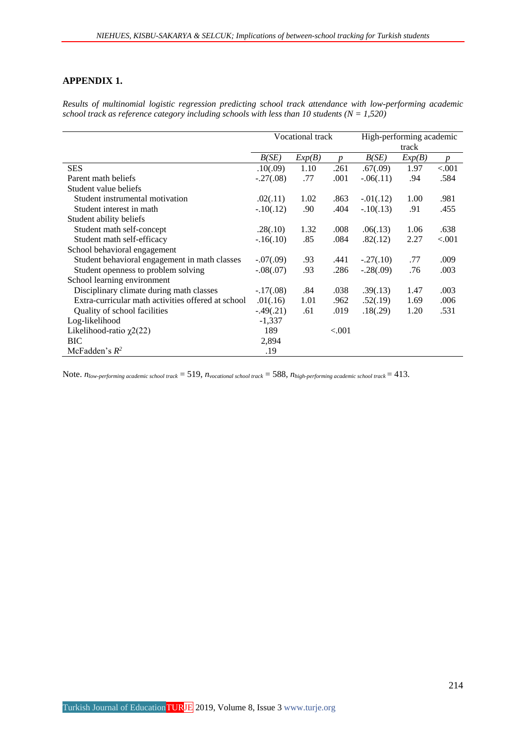## **APPENDIX 1.**

*Results of multinomial logistic regression predicting school track attendance with low-performing academic school track as reference category including schools with less than 10 students (* $N = 1,520$ *)* 

|                                                    | Vocational track |        |                  | High-performing academic |        |                  |  |
|----------------------------------------------------|------------------|--------|------------------|--------------------------|--------|------------------|--|
|                                                    |                  |        |                  | track                    |        |                  |  |
|                                                    | B(SE)            | Exp(B) | $\boldsymbol{D}$ | B(SE)                    | Exp(B) | $\boldsymbol{p}$ |  |
| <b>SES</b>                                         | .10(.09)         | 1.10   | .261             | .67(.09)                 | 1.97   | < .001           |  |
| Parent math beliefs                                | $-.27(.08)$      | .77    | .001             | $-0.06(0.11)$            | .94    | .584             |  |
| Student value beliefs                              |                  |        |                  |                          |        |                  |  |
| Student instrumental motivation                    | .02(.11)         | 1.02   | .863             | $-0.01(0.12)$            | 1.00   | .981             |  |
| Student interest in math                           | $-.10(.12)$      | .90    | .404             | $-.10(.13)$              | .91    | .455             |  |
| Student ability beliefs                            |                  |        |                  |                          |        |                  |  |
| Student math self-concept                          | .28(.10)         | 1.32   | .008             | .06(.13)                 | 1.06   | .638             |  |
| Student math self-efficacy                         | $-.16(.10)$      | .85    | .084             | .82(.12)                 | 2.27   | ${<}001$         |  |
| School behavioral engagement                       |                  |        |                  |                          |        |                  |  |
| Student behavioral engagement in math classes      | $-.07(.09)$      | .93    | .441             | $-.27(.10)$              | .77    | .009             |  |
| Student openness to problem solving                | $-.08(.07)$      | .93    | .286             | $-.28(.09)$              | .76    | .003             |  |
| School learning environment                        |                  |        |                  |                          |        |                  |  |
| Disciplinary climate during math classes           | $-.17(.08)$      | .84    | .038             | .39(.13)                 | 1.47   | .003             |  |
| Extra-curricular math activities offered at school | .01(.16)         | 1.01   | .962             | .52(.19)                 | 1.69   | .006             |  |
| Quality of school facilities                       | $-.49(.21)$      | .61    | .019             | .18(.29)                 | 1.20   | .531             |  |
| Log-likelihood                                     | $-1,337$         |        |                  |                          |        |                  |  |
| Likelihood-ratio $\chi$ 2(22)                      | 189              |        | ${<}001$         |                          |        |                  |  |
| <b>BIC</b>                                         | 2,894            |        |                  |                          |        |                  |  |
| McFadden's $R^2$                                   | .19              |        |                  |                          |        |                  |  |

Note. *nlow-performing academic school track* = 519, *nvocational school track* = 588, *nhigh-performing academic school track* = 413.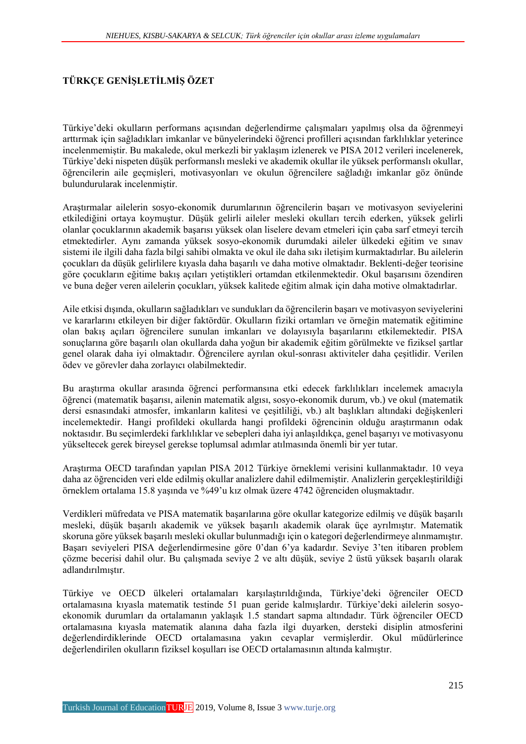## **TÜRKÇE GENİŞLETİLMİŞ ÖZET**

Türkiye'deki okulların performans açısından değerlendirme çalışmaları yapılmış olsa da öğrenmeyi arttırmak için sağladıkları imkanlar ve bünyelerindeki öğrenci profilleri açısından farklılıklar yeterince incelenmemiştir. Bu makalede, okul merkezli bir yaklaşım izlenerek ve PISA 2012 verileri incelenerek, Türkiye'deki nispeten düşük performanslı mesleki ve akademik okullar ile yüksek performanslı okullar, öğrencilerin aile geçmişleri, motivasyonları ve okulun öğrencilere sağladığı imkanlar göz önünde bulundurularak incelenmiştir.

Araştırmalar ailelerin sosyo-ekonomik durumlarının öğrencilerin başarı ve motivasyon seviyelerini etkilediğini ortaya koymuştur. Düşük gelirli aileler mesleki okulları tercih ederken, yüksek gelirli olanlar çocuklarının akademik başarısı yüksek olan liselere devam etmeleri için çaba sarf etmeyi tercih etmektedirler. Aynı zamanda yüksek sosyo-ekonomik durumdaki aileler ülkedeki eğitim ve sınav sistemi ile ilgili daha fazla bilgi sahibi olmakta ve okul ile daha sıkı iletişim kurmaktadırlar. Bu ailelerin çocukları da düşük gelirlilere kıyasla daha başarılı ve daha motive olmaktadır. Beklenti-değer teorisine göre çocukların eğitime bakış açıları yetiştikleri ortamdan etkilenmektedir. Okul başarısını özendiren ve buna değer veren ailelerin çocukları, yüksek kalitede eğitim almak için daha motive olmaktadırlar.

Aile etkisi dışında, okulların sağladıkları ve sundukları da öğrencilerin başarı ve motivasyon seviyelerini ve kararlarını etkileyen bir diğer faktördür. Okulların fiziki ortamları ve örneğin matematik eğitimine olan bakış açıları öğrencilere sunulan imkanları ve dolayısıyla başarılarını etkilemektedir. PISA sonuçlarına göre başarılı olan okullarda daha yoğun bir akademik eğitim görülmekte ve fiziksel şartlar genel olarak daha iyi olmaktadır. Öğrencilere ayrılan okul-sonrası aktiviteler daha çeşitlidir. Verilen ödev ve görevler daha zorlayıcı olabilmektedir.

Bu araştırma okullar arasında öğrenci performansına etki edecek farklılıkları incelemek amacıyla öğrenci (matematik başarısı, ailenin matematik algısı, sosyo-ekonomik durum, vb.) ve okul (matematik dersi esnasındaki atmosfer, imkanların kalitesi ve çeşitliliği, vb.) alt başlıkları altındaki değişkenleri incelemektedir. Hangi profildeki okullarda hangi profildeki öğrencinin olduğu araştırmanın odak noktasıdır. Bu seçimlerdeki farklılıklar ve sebepleri daha iyi anlaşıldıkça, genel başarıyı ve motivasyonu yükseltecek gerek bireysel gerekse toplumsal adımlar atılmasında önemli bir yer tutar.

Araştırma OECD tarafından yapılan PISA 2012 Türkiye örneklemi verisini kullanmaktadır. 10 veya daha az öğrenciden veri elde edilmiş okullar analizlere dahil edilmemiştir. Analizlerin gerçekleştirildiği örneklem ortalama 15.8 yaşında ve %49'u kız olmak üzere 4742 öğrenciden oluşmaktadır.

Verdikleri müfredata ve PISA matematik başarılarına göre okullar kategorize edilmiş ve düşük başarılı mesleki, düşük başarılı akademik ve yüksek başarılı akademik olarak üçe ayrılmıştır. Matematik skoruna göre yüksek başarılı mesleki okullar bulunmadığı için o kategori değerlendirmeye alınmamıştır. Başarı seviyeleri PISA değerlendirmesine göre 0'dan 6'ya kadardır. Seviye 3'ten itibaren problem çözme becerisi dahil olur. Bu çalışmada seviye 2 ve altı düşük, seviye 2 üstü yüksek başarılı olarak adlandırılmıştır.

Türkiye ve OECD ülkeleri ortalamaları karşılaştırıldığında, Türkiye'deki öğrenciler OECD ortalamasına kıyasla matematik testinde 51 puan geride kalmışlardır. Türkiye'deki ailelerin sosyoekonomik durumları da ortalamanın yaklaşık 1.5 standart sapma altındadır. Türk öğrenciler OECD ortalamasına kıyasla matematik alanına daha fazla ilgi duyarken, dersteki disiplin atmosferini değerlendirdiklerinde OECD ortalamasına yakın cevaplar vermişlerdir. Okul müdürlerince değerlendirilen okulların fiziksel koşulları ise OECD ortalamasının altında kalmıştır.